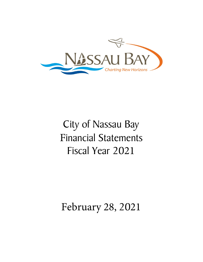

# City of Nassau Bay Financial Statements Fiscal Year 2021

## February 28, 2021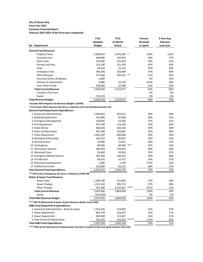#### **City of Nassau Bay Fiscal Year 2021**

## **Summary Financial Report**

**February-2021 (42% of the fiscal year completed)**

|                                                                                 | <b>FY21</b>   | <b>FY21</b> |        | Percent         | 5-Year Avg |
|---------------------------------------------------------------------------------|---------------|-------------|--------|-----------------|------------|
|                                                                                 | Adopted       | 12 Month    |        | <b>Received</b> | February   |
| No. Department                                                                  | <b>Budget</b> | Actual      |        | or Spent        | each year  |
| <b>General Fund Revenue:</b>                                                    |               |             |        |                 |            |
| <b>Property Taxes</b>                                                           | 3,898,620     | 4,670,230 * |        | 120%            | 122%       |
| <b>Franchise Fees</b>                                                           | 440,000       | 107,650     |        | 24%             | 27%        |
| Sales Taxes                                                                     | 510,000       | 151,829     |        | 30%             | 27%        |
| <b>Permits and Fees</b>                                                         | 173,100       | 151,278     |        | 87%             | 43%        |
| Fines                                                                           | 85,620        | 33,732      |        | 39%             | 40%        |
| <b>Ambulance Fees</b>                                                           | 309,200       | 163,848     |        | 53%             | 49%        |
| <b>Other Revenue</b>                                                            | 377,440       | 193,291     | $***$  | 51%             | 40%        |
| Insurance Claims & Rebates                                                      | 3,000         |             |        | 0%              | 16%        |
| Interest on Investments                                                         | 4,000         | 10,129      |        | 253%            | 36%        |
| From Other Funds                                                                | 149,960       | 37,490      |        | 25%             | 25%        |
| <b>Total Current Revenue</b>                                                    | 5,950,940     | 5,519,477   |        | 93%             | 86%        |
| Transfers (To) From                                                             |               |             |        | 0%              | 0%         |
| Equity                                                                          | 707,470       |             |        | 0%              | 0%         |
| <b>Total Revenue Budget</b>                                                     | 6,658,410     | 5,519,477   |        | 83%             | 79%        |
| *Includes RDA Property Tax Revenue (Budget 1.037M)                              |               |             |        |                 |            |
| **11% of the Other Revenue line item is related to Cares Act Reimbursements 21K |               |             |        |                 |            |
| <b>General Fund Department Expenditures:</b>                                    |               |             |        |                 |            |
| 1 General & Administrative                                                      | 1,580,820     | 552,611     |        | 35%             | 34%        |
| 2 Building Department                                                           | 312,880       | 87,668      |        | 28%             | 31%        |
| 3 Emergency Management                                                          | 134,840       | 22,656      |        | 17%             | 31%        |
| 4 Fire Department                                                               | 347,700       | 116,136     |        | 33%             | 30%        |
| 5 Public Works                                                                  | 468,620       | 184,146     |        | 39%             | 36%        |
| 6 Parks and Recreation                                                          | 452,280       | 143,681     |        | 32%             | 36%        |
| 7 Police Department                                                             | 1,661,290     | 660,066     |        | 40%             | 34%        |
| 8 Sanitation & Recycling                                                        | 243,210       | 80,947      |        | 33%             | 33%        |
| 9 Animal Control                                                                | 33,980        | 12,821      |        | 38%             | 37%        |
| 10 Contingency                                                                  | 90,000        | 60,490      | ***    | 67%             | 22%        |
| 11 Information Services                                                         | 364,650       | 179,414     |        | 49%             | 36%        |
| 12 Municipal Court                                                              | 93,850        | 43,926      |        | 47%             | 37%        |
| 13 Emergency Medical Service                                                    | 582,380       | 230,431     |        | 40%             | 38%        |
| 14 Fire Marshal                                                                 | 68,310        | 16,727      |        | 24%             | 27%        |
| 15 Planning & Development                                                       | 1,000         | 1,748       |        | 175%            | 16%        |
| 17 Conference Center                                                            | 222,600       | 62,272      |        | 28%             | 27%        |
| <b>Total General Fund Expenditures</b>                                          | 6,658,410     | 2,455,742   |        | 37%             | 33%        |
| ***57% of the Contingency line item is related to COVID 34K                     |               |             |        |                 |            |
| <b>Water &amp; Sewer Fund Revenue:</b>                                          |               |             |        |                 |            |
| <b>Water Sales</b>                                                              | 1,189,100     | 322,850     |        | 27%             | 28%        |
| Sewer Charges                                                                   | 1,153,160     | 305,712     |        | 27%             | 28%        |
| <b>Other Charges</b>                                                            | 921,300       | 3,235,467   | $****$ | 351%            | 31%        |
| <b>Total Current Revenue</b>                                                    | 3,263,560     | 3,864,030   |        | 118%            | 28%        |
| Equity                                                                          | (155, 640)    |             |        | 0%              | 0%         |
| <b>Total W&amp;S Revenue Budget</b>                                             | 3,107,920     | 3,864,030   |        | 124%            | 23%        |
| **** 3M TX Waterworks & Sewer System Revenue Bonds, Series 2020                 |               |             |        |                 |            |
| <b>W&amp;S Fund Department Expenditures:</b>                                    |               |             |        |                 |            |
| 1 General & Administrative - Water & Sewer                                      | 1,352,420     | 554,039     |        | 41%             | 37%        |
| 2 Water Department                                                              | 869,730       | 143,457     |        | 16%             | 17%        |
| 3 Sewer Department                                                              | 694,500       | 113,587     |        | 16%             | 21%        |
| 4 Debt Service & Depreciation                                                   | 191,270       | 215,022     |        | 112%            | 63%        |
| <b>Total W&amp;S Fund Expenditures</b>                                          | 3,107,920     | 1,026,104   |        | 33%             | 31%        |

*\*\*\*\*\*26% of the Debt Service & Depreciation line item is related to Revenue Bond Issuance Costs 57K*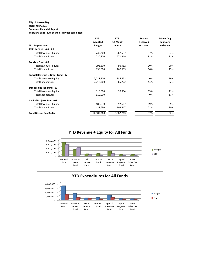## **City of Nassau Bay**

#### **Fiscal Year 2021 Summary Financial Report**

**February-2021 (42% of the fiscal year completed)**

|                                   | <b>FY21</b>   | <b>FY21</b> | Percent         | 5-Year Avg |
|-----------------------------------|---------------|-------------|-----------------|------------|
|                                   | Adopted       | 12 Month    | <b>Received</b> | February   |
| No. Department                    | <b>Budget</b> | Actual      | or Spent        | each year  |
| Debt Service Fund - 04            |               |             |                 |            |
| Total Revenue + Equity            | 730,200       | 267,587     | 37%             | 53%        |
| <b>Total Expenditures</b>         | 730,200       | 671,319     | 92%             | 91%        |
| <b>Tourism Fund - 06</b>          |               |             |                 |            |
| Total Revenue + Equity            | 996,500       | 96,962      | 10%             | 20%        |
| <b>Total Expenditures</b>         | 996,500       | 160,509     | 16%             | 19%        |
| Special Revenue & Grant Fund - 07 |               |             |                 |            |
| Total Revenue + Equity            | 2,217,700     | 885,453     | 40%             | 19%        |
| <b>Total Expenditures</b>         | 2,217,700     | 965,222     | 44%             | 22%        |
| <b>Street Sales Tax Fund - 10</b> |               |             |                 |            |
| Total Revenue + Equity            | 310,000       | 39,354      | 13%             | 11%        |
| <b>Total Expenditures</b>         | 310,000       |             | 0%              | 17%        |
| Capital Projects Fund - 09        |               |             |                 |            |
| Total Revenue + Equity            | 488,630       | 92,667      | 19%             | 5%         |
| <b>Total Expenditures</b>         | 488,630       | 103,817     | 21%             | 30%        |
| <b>Total Nassau Bay Budget</b>    | 14,509,360    | 5,382,713   | 37%             | 32%        |

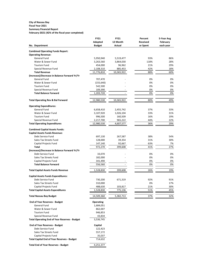#### **City of Nassau Bay Fiscal Year 2021 Summary Financial Report**

**February-2021 (42% of the fiscal year completed)**

|                                                                      | <b>FY21</b>      | <b>FY21</b> | Percent  | 5-Year Avg |
|----------------------------------------------------------------------|------------------|-------------|----------|------------|
|                                                                      | Adopted          | 12 Month    | Received | February   |
| No. Department                                                       | <b>Budget</b>    | Actual      | or Spent | each year  |
|                                                                      |                  |             |          |            |
| <b>Combined Operating Funds Report:</b><br><b>Operating Revenue:</b> |                  |             |          |            |
| <b>General Fund</b>                                                  | 5,950,940        | 5,519,477   | 93%      | 86%        |
| Water & Sewer Fund                                                   | 3,263,560        | 3,864,030   | 118%     | 28%        |
| <b>Tourism Fund</b>                                                  | 454,000          | 96,962      | 21%      | 29%        |
| Special Revenue Fund                                                 | 2,108,310        | 885,453     | 42%      | 18%        |
| <b>Total Revenue</b>                                                 | 11,776,810       | 10,365,922  | 88%      | 60%        |
| (Increase)/Decrease in Balance Forward Yr/Yr                         |                  |             |          |            |
| General Fund                                                         | 707,470          |             | 0%       | 0%         |
| Water & Sewer Fund                                                   | (155, 640)       |             | 0%       | 0%         |
| <b>Tourism Fund</b>                                                  | 542,500          |             | 0%       | 0%         |
| Special Revenue Fund                                                 | 109,390          |             | 0%       | 0%         |
| <b>Total Balance Forward</b>                                         | 1,203,720        |             | 0%       | 0%         |
|                                                                      |                  |             |          |            |
| <b>Total Operating Rev &amp; Bal Forward</b>                         | 12,980,530       | 10,365,922  | 80%      | 49%        |
| <b>Operating Expenditures:</b>                                       |                  |             |          |            |
| General Fund                                                         | 6,658,410        | 2,455,742   | 37%      | 33%        |
| Water & Sewer Fund                                                   | 3,107,920        | 1,026,104   | 33%      | 31%        |
| <b>Tourism Fund</b>                                                  | 996,500          | 160,509     | 16%      | 19%        |
| Special Revenue Fund                                                 | 2,217,700        | 965,222     | 44%      | 22%        |
| <b>Total Operating Expenditures</b>                                  | 12,980,530       | 4,607,577   | 36%      | 29%        |
| <b>Combined Capital Assets Funds:</b>                                |                  |             |          |            |
| <b>Capital Assets Funds Revenue:</b>                                 |                  |             |          |            |
| Debt Service Fund                                                    | 697,130          | 267,587     | 38%      | 54%        |
| Sales Tax Streets Fund                                               | 128,000          | 39,354      | 31%      | 30%        |
| Capital Projects Fund                                                | 147,140          | 92,667      | 63%      | 7%         |
| <b>Total</b>                                                         | 972,270          | 399,608     | 41%      | 27%        |
| (Increase)/Decrease in Balance Forward Yr/Yr                         |                  |             |          |            |
| Debt Service Fund                                                    | 33,070           |             | 0%       | 0%         |
| Sales Tax Streets Fund                                               | 182,000          |             | 0%       | 0%         |
| Capital Projects Fund                                                | 341,490          |             | 0%       | 0%         |
| <b>Total Balance Forward</b>                                         | 556,560          |             | 0%       | 0%         |
| <b>Total Capital Assets Funds Revenue</b>                            | 1,528,830        | 399,608     | 26%      | 19%        |
| <b>Capital Assets Funds Expenditures:</b>                            |                  |             |          |            |
| Debt Service Fund                                                    | 730,200          | 671,319     | 92%      | 91%        |
| Sales Tax Streets Fund                                               | 310,000          |             | 0%       | 17%        |
| Capital Projects Fund                                                | 488,630          | 103,817     | 21%      | 30%        |
| <b>Total Capital Assets Expenditures</b>                             | 1,528,830        | 775,136     | 51%      | 45%        |
| <b>Total Nassau Bay Budget</b>                                       | 14,509,360       | 5,382,713   | 37%      | 32%        |
|                                                                      |                  |             |          |            |
| <b>End of Year Reserves - Budget</b>                                 | <b>Operating</b> |             |          |            |
| General Fund                                                         | 1,684,051        |             |          |            |
| Water & Sewer Fund                                                   | 862,007          |             |          |            |
| <b>Tourism Fund</b>                                                  | 946,853          |             |          |            |
| Special Revenue Fund                                                 | 43,834           |             |          |            |
| <b>Total Operating End of Year Reserves - Budget</b>                 | 3,536,745        |             |          |            |
| <b>End of Year Reserves - Budget</b>                                 | Capital          |             |          |            |
| Debt Service Fund                                                    | 122,423          |             |          |            |
| Sales Tax Streets Fund                                               | 557,172          |             |          |            |
| Capital Projects Fund                                                | 35,037           |             |          |            |
| <b>Total Capital End of Year Reserves - Budget</b>                   | 714,632          |             |          |            |
| <b>Total End of Year Reserves - Budget</b>                           | 4,251,377        |             |          |            |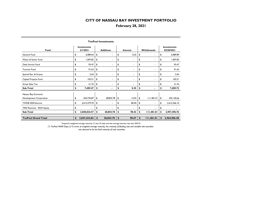## **February 28, 2021**

| Fund                       | <b>Investments</b><br>2/1/2021 |              | <b>Additions</b> |    | Interest |    | Withdrawals |    | <b>Investments</b><br>02/28/2021 |
|----------------------------|--------------------------------|--------------|------------------|----|----------|----|-------------|----|----------------------------------|
| General Fund               | \$                             | 6,089.64     | \$               | \$ | 0.25     | \$ | ٠           | \$ | 6,089.89                         |
| Water & Sewer Fund         | \$                             | 1,007.82     | \$<br>٠          | \$ | ×.       | \$ | $\sim$      | \$ | 1,007.82                         |
| Debt Service Fund          | \$                             | 93.47        | \$<br>٠          | \$ | ٠        | \$ | ٠           | \$ | 93.47                            |
| <b>Tourism Fund</b>        | \$                             | 91.63        | \$<br>٠          | \$ | ۰        | \$ | ۰           | \$ | 91.63                            |
| Special Rev. & Grants      | \$                             | 2.64         | \$               | \$ |          | \$ | ۰           | \$ | 2.64                             |
| Capital Projects Fund      | \$                             | 102.51       | \$<br>۰          | \$ | ۰        | \$ | ٠           | \$ | 102.51                           |
| <b>Street Sales Tax</b>    | \$                             | 21.76        | \$<br>٠          | \$ |          | \$ | ٠           | \$ | 21.76                            |
| Sub-Total                  | S                              | 7,409.47     | \$               | \$ | 0.25     | \$ |             | \$ | 7,409.72                         |
| Nassau Bay Economic        |                                |              |                  |    |          |    |             |    |                                  |
| Development Corporation    | \$                             | 424,744.87   | \$<br>28,854.78  | \$ | 12.02    | \$ | 111,481.01  | \$ | 342,130.66                       |
| TWDB 2020 Escrow           | \$                             | 2,615,279.70 | \$<br>٠          | \$ | 86.40    | \$ | $\sim$      | \$ | 2,615,366.10                     |
| TIRZ Revenue - RDA Equity  | \$                             |              | \$               | \$ |          | \$ |             | \$ |                                  |
| Sub-Total                  | \$                             | 3,040,024.57 | \$<br>28,854.78  | \$ | 98.42    | \$ | 11,481.01   | \$ | 2,957,496.76                     |
| <b>TexPool Grand Total</b> | \$                             | 3,047,434.04 | \$<br>28,854.78  | \$ | 98.67    | \$ | 111,481.01  | \$ | 2,964,906.48                     |

#### **TexPool Investments**

Texpool's weighted average maturity (\*) was 32 days and the average interest rate was .0431%.

*(\*) TexPool WAM Days (2) To arrive at weighted average maturity, the maturity of floating rate and variable rate securities was deemed to be the final maturity of such securities.*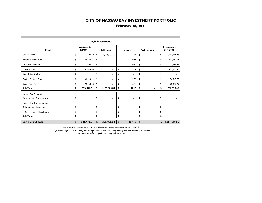## **February 28, 2021**

| Fund                      | <b>Investments</b><br>2/1/2021 |                | <b>Additions</b> |                | Interest      |                | Withdrawals   |                          |    | <b>Investments</b><br>02/28/2021 |
|---------------------------|--------------------------------|----------------|------------------|----------------|---------------|----------------|---------------|--------------------------|----|----------------------------------|
| General Fund              | \$                             | 66,103.79      | \$               | 1,175,000.00   | \$            | 71.66          | \$            | ٠                        | \$ | 1,241,175.45                     |
| Water & Sewer Fund        | \$                             | 142, 146.13    | \$               | ×.             | \$            | 10.96          | \$            | ٠                        | \$ | 142,157.09                       |
| Debt Service Fund         | \$                             | 1,495.74       | \$               | ٠              | \$            | 0.11           | \$            | $\blacksquare$           | \$ | 1.495.85                         |
| <b>Tourism Fund</b>       | \$                             | 201,835.74     | \$               | ٠              | \$            | 15.56          | \$            | ٠                        | \$ | 201,851.30                       |
| Special Rev. & Grants     | \$                             | $\blacksquare$ | \$               | ٠              | \$            | $\blacksquare$ | \$            | $\overline{\phantom{a}}$ | \$ |                                  |
| Capital Projects Fund     | \$                             | 36,540.93      | \$               | ٠              | \$            | 2.82           | \$            | ٠                        | \$ | 36,543.75                        |
| <b>Street Sales Tax</b>   | \$                             | 78,350.18      | \$               | ٠              | \$            | 6.04           | \$            | ٠                        | \$ | 78.356.22                        |
| Sub-Total                 | \$                             | 526,472.51     | S                | 1,175,000.00   | \$            | 107.15         | \$            |                          | S  | 1,701,579.66                     |
| Nassau Bay Economic       |                                |                |                  |                |               |                |               |                          |    |                                  |
| Development Corporation   | \$                             | $\blacksquare$ | \$               | $\blacksquare$ | \$            | ٠              | \$            | $\blacksquare$           | \$ |                                  |
| Nassau Bay Tax Increment  |                                |                |                  |                |               |                |               |                          |    |                                  |
| Reinvestment Zone No. I   | \$                             | $\blacksquare$ | \$               | $\blacksquare$ | \$            | $\blacksquare$ | \$            | $\blacksquare$           | \$ |                                  |
| TIRZ Revenue - RDA Equity | \$                             |                | \$               | ٠              | \$            | ۰              | \$            | ۰                        | \$ |                                  |
| Sub-Total                 | \$                             |                | \$               | ٠              | \$            |                | \$            |                          | \$ |                                  |
| <b>Logic Grand Total</b>  | \$                             | 526,472.51     | \$               | 1,175,000.00   | $\frac{1}{2}$ | 107.15         | $\frac{1}{2}$ | $\blacksquare$           | \$ | 1,701,579.66                     |

#### **Logic Investments**

Logic's weighted average maturity (\*) was 54 days and the average interest rate was .1007%.

*(\*) Logic WAM Days To arrive at weighted average maturity, the maturity of floating rate and variable rate securities was deemed to be the final maturity of such securities.*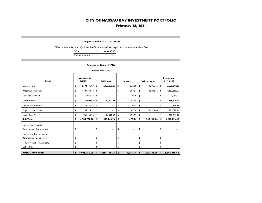## **February 28, 2021**

#### **Allegiance Bank - DDA & Grant**

DDA Minimum Balance - Qualifies the City for a 1.00 earnings credit on account analysis fees

| <b>DDA</b>             | 400,000.00 |
|------------------------|------------|
| <b>Elevation Grant</b> | \$         |

#### **Allegiance Bank - MMA**

| Interest Rate 0.32%                               |                                |                |    |                  |    |          |    |                    |    |                                  |  |  |
|---------------------------------------------------|--------------------------------|----------------|----|------------------|----|----------|----|--------------------|----|----------------------------------|--|--|
| Fund                                              | <b>Investments</b><br>2/1/2021 |                |    | <b>Additions</b> |    | Interest |    | <b>Withdrawals</b> |    | <b>Investments</b><br>02/28/2021 |  |  |
| General Fund                                      | \$                             | 2,394,476.03   | \$ | 1,380,000.00     | \$ | 832.00   | \$ | 136,966.65         | \$ | 3,638,341.38                     |  |  |
| Water & Sewer Fund                                | \$                             | 1,189,733.14   | \$ | $\blacksquare$   | \$ | 294.81   | \$ | 32,808.76          | \$ | 1,157,219.19                     |  |  |
| Debt Service Fund                                 | \$                             | 1,050.74       | \$ |                  | \$ | 0.26     | \$ | ٠                  | \$ | 1,051.00                         |  |  |
| <b>Tourism Fund</b>                               | \$                             | 336,099.69     | \$ | 60,720.88        | \$ | 85.15    | \$ | ٠                  | \$ | 396,905.72                       |  |  |
| Special Rev. & Grants                             | \$                             | 2,927.93       | \$ | ٠                | \$ | 0.73     | \$ | ٠                  | \$ | 2,928.66                         |  |  |
| Capital Projects Fund                             | \$                             | 355,314.31     | \$ | ٠                | \$ | 87.50    | \$ | 30,372.85          | \$ | 325,028.96                       |  |  |
| <b>Street Sales Tax</b>                           | \$                             | 706,158.24     | \$ | 14,427.38        | \$ | 175.89   | \$ | ÷.                 | \$ | 720.761.51                       |  |  |
| Sub-Total                                         | \$                             | 4,985,760.08   | \$ | 1,455,148.26     | \$ | 1,476.34 | \$ | 200, 148.26        | £  | 6,242,236.42                     |  |  |
| Nassau Bay Economic<br>Development Corporation    | \$                             | $\blacksquare$ | \$ | ٠                | \$ | ٠        | \$ | $\blacksquare$     | \$ |                                  |  |  |
| Nassau Bay Tax Increment<br>Reinvestment Zone No. | \$                             | ٠              | \$ |                  | \$ | ٠        | \$ | ٠                  | \$ |                                  |  |  |
| TIRZ Revenue - RDA Equity                         | \$                             | ٠              | \$ | ۰                | \$ | ٠        | \$ | ٠                  | \$ |                                  |  |  |
| Sub-Total                                         | \$                             |                | \$ |                  | \$ |          | \$ |                    | \$ |                                  |  |  |
| <b>MMA Grand Total</b>                            | <sup>\$</sup>                  | 4,985,760.08   | \$ | 1,455,148.26     | \$ | 1,476.34 | \$ | 200,148.26         | \$ | 6,242,236.42                     |  |  |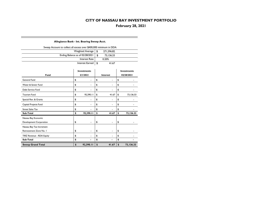**February 28, 2021**

#### **Allegiance Bank - Int. Bearing Sweep Acct.**

 $\overline{\phantom{a}}$ 

| Sweep Account to collect all excess over \$400,000 minimum in DDA |  |            |  |  |  |  |  |  |  |  |
|-------------------------------------------------------------------|--|------------|--|--|--|--|--|--|--|--|
| Weighted Average   \$                                             |  | 271.596.82 |  |  |  |  |  |  |  |  |
| Ending Balance as of 02/28/2021                                   |  | 73.136.33  |  |  |  |  |  |  |  |  |
| Interest Rate                                                     |  | 0.20%      |  |  |  |  |  |  |  |  |
| Interest Earned   \$                                              |  | 41.67      |  |  |  |  |  |  |  |  |

|                           | <b>Investments</b> |                                | <b>Investments</b> |
|---------------------------|--------------------|--------------------------------|--------------------|
| Fund                      | 2/1/2021           | Interest                       | 02/28/2021         |
| General Fund              | \$                 | \$<br>$\overline{\phantom{a}}$ | \$                 |
| Water & Sewer Fund        | \$                 | \$                             | \$                 |
| Debt Service Fund         | \$                 | \$                             | \$                 |
| <b>Tourism Fund</b>       | \$<br>92,390.11    | \$<br>41.67                    | \$<br>73,136.33    |
| Special Rev. & Grants     | \$                 | \$                             | \$                 |
| Capital Projects Fund     | \$                 | \$                             | \$                 |
| <b>Street Sales Tax</b>   | \$                 | \$                             | \$                 |
| Sub-Total                 | \$<br>92,390.11    | \$<br>41.67                    | \$<br>73,136.33    |
| Nassau Bay Economic       |                    |                                |                    |
| Development Corporation   | \$                 | \$<br>٠                        | \$                 |
| Nassau Bay Tax Increment  |                    |                                |                    |
| Reinvestment Zone No. I   | \$                 | \$                             | \$                 |
| TIRZ Revenue - RDA Equity | \$                 | \$                             | \$                 |
| Sub-Total                 | \$                 | \$                             | \$                 |
| <b>Sweep Grand Total</b>  | \$<br>92,390.11    | \$<br>41.67                    | \$<br>73,136.33    |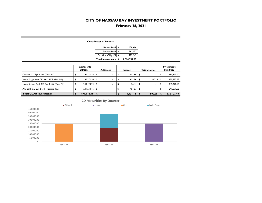## **February 28, 2021**

|                                            |                                |              | <b>Certificates of Deposit</b>  |                     |            |                |              |                                  |
|--------------------------------------------|--------------------------------|--------------|---------------------------------|---------------------|------------|----------------|--------------|----------------------------------|
|                                            |                                |              | General Fund \$                 | 630,416             |            |                |              |                                  |
|                                            |                                |              | Tourism Fund \$                 | 241,692             |            |                |              |                                  |
|                                            |                                |              | Fed. Gov. Oblig. Fd \$          | 222,645             |            |                |              |                                  |
|                                            |                                |              | Total Investments \$            | 1,094,752.83        |            |                |              |                                  |
|                                            | <b>Investments</b><br>2/1/2021 |              | <b>Additions</b>                | Interest            |            | Withdrawals    |              | <b>Investments</b><br>02/28/2021 |
| Citibank CD 3yr 3.10% (Gen. Fd.)           | \$<br>190,371.16               | \$           | ä,                              | \$<br>451.84        | \$         | $\blacksquare$ | \$           | 190,823.00                       |
| Wells Fargo Bank CD 3yr 3.10% (Gen. Fd.)   | \$<br>190,371.14               | \$           | ÷,                              | \$<br>451.84        | \$         | 500.25         | \$           | 190,322.73                       |
| Luana Savings Bank CD 3yr 0.40% (Gen. Fd.) | \$<br>249, 193.74              | \$           | $\blacksquare$                  | \$<br>76.41         | \$         | ٠              | \$           | 249,270.15                       |
| Ally Bank CD 2yr 2.45% (Tourism Fd.)       | \$<br>241,240.46               | \$           | $\overline{a}$                  | \$<br>451.07        | \$         | ÷.             | \$           | 241,691.53                       |
| <b>Total CDAR Investments</b>              | \$<br>871,176.49               | \$           |                                 | \$<br>1,431.16      | $\sqrt{2}$ | 500.25         | $\mathbf{s}$ | 872,107.40                       |
| Citibank                                   |                                | <b>Luana</b> | <b>CD Maturities By Quarter</b> | $\blacksquare$ Ally |            |                |              |                                  |
|                                            |                                |              |                                 |                     |            | Wells Fargo    |              |                                  |
| 450,000.00<br>400,000.00                   |                                |              |                                 |                     |            |                |              |                                  |
| 350,000.00                                 |                                |              |                                 |                     |            |                |              |                                  |
| 300,000.00                                 |                                |              |                                 |                     |            |                |              |                                  |
| 250,000.00                                 |                                |              |                                 |                     |            |                |              |                                  |
| 200,000.00                                 |                                |              |                                 |                     |            |                |              |                                  |
| 150,000.00                                 |                                |              |                                 |                     |            |                |              |                                  |
| 100,000.00                                 |                                |              |                                 |                     |            |                |              |                                  |
| 50,000.00                                  |                                |              |                                 |                     |            |                |              |                                  |
| Q3 FY21                                    |                                |              | Q2 FY22                         |                     |            | Q3 FY23        |              |                                  |

**The State**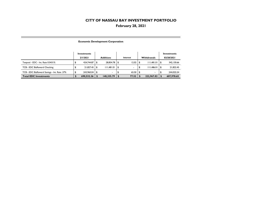## **February 28, 2021**

#### **Economic Development Corporation**

|                                              | Investments<br>2/1/2021 | <b>Additions</b> | Interest | <b>Withdrawals</b> | Investments<br>02/28/2021 |
|----------------------------------------------|-------------------------|------------------|----------|--------------------|---------------------------|
| Texpool - EDC - Int. Rate 0.0431%            | 424,744.87              | 28.854.78        | 12.02    | 111.481.01         | 342,130.66                |
| TCB - EDC BizReward Checking                 | 21.827.45               | 111.481.01       | $\sim$   | 111.486.01         | 21.822.45                 |
| TCB - EDC BizReward Savings - Int. Rate .37% | 243.960.04              | $\sim$           | 65.50    | $\sim$             | 244.025.54                |
| <b>Total EDC Investments</b>                 | 690,532.36              | 140,335.79       | 77.52    | 222.967.02         | 607,978.65                |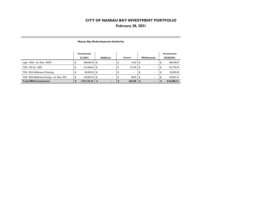## **February 28, 2021**

|                                              | Investments<br>2/1/2021 |     | <b>Additions</b> | Interest |      | <b>Withdrawals</b> | Investments<br>02/28/2021 |
|----------------------------------------------|-------------------------|-----|------------------|----------|------|--------------------|---------------------------|
| Logic - RDA - Int. Rate . 1007%              | 184.604.34              | \$  | $\sim$           | 14.23    | 5    | $\sim$             | 184,618.57                |
| TCB - CD 3yr 1.85%                           | 161,564.63              | \$  |                  | 212.30   | -\$  |                    | 161,776.93                |
| TCB - RDA BizReward Checking                 | 20,403.50               | ∣\$ |                  |          |      |                    | 20,403.50                 |
| TCB - RDA BizReward Savings - Int. Rate .35% | 143,562.76              | -\$ |                  | 38.55    | - 35 |                    | 143,601.31                |
| <b>Total RDA Investments</b>                 | 510,135.23              |     | ۰                | 265.08   |      |                    | 510,400.31                |

#### **Nassau Bay Redevelopment Authority**